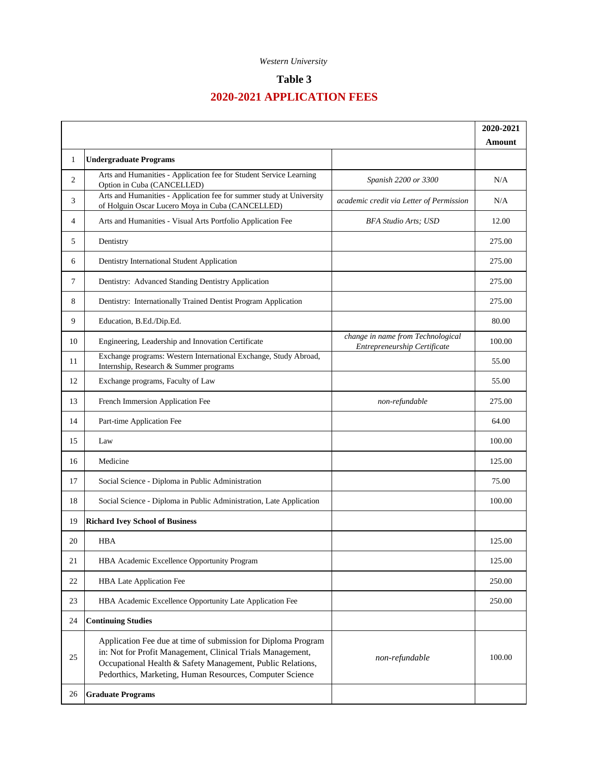#### *Western University*

## **Table 3**

# **2020-2021 APPLICATION FEES**

|    |                                                                                                                                                                                                                                                       |                                                                   | 2020-2021 |
|----|-------------------------------------------------------------------------------------------------------------------------------------------------------------------------------------------------------------------------------------------------------|-------------------------------------------------------------------|-----------|
| 1  | <b>Undergraduate Programs</b>                                                                                                                                                                                                                         |                                                                   | Amount    |
| 2  | Arts and Humanities - Application fee for Student Service Learning<br>Option in Cuba (CANCELLED)                                                                                                                                                      | Spanish 2200 or 3300                                              | N/A       |
| 3  | Arts and Humanities - Application fee for summer study at University<br>of Holguin Oscar Lucero Moya in Cuba (CANCELLED)                                                                                                                              | academic credit via Letter of Permission                          | N/A       |
| 4  | Arts and Humanities - Visual Arts Portfolio Application Fee                                                                                                                                                                                           | <b>BFA Studio Arts</b> ; USD                                      | 12.00     |
| 5  | Dentistry                                                                                                                                                                                                                                             |                                                                   | 275.00    |
| 6  | Dentistry International Student Application                                                                                                                                                                                                           |                                                                   | 275.00    |
| 7  | Dentistry: Advanced Standing Dentistry Application                                                                                                                                                                                                    |                                                                   | 275.00    |
| 8  | Dentistry: Internationally Trained Dentist Program Application                                                                                                                                                                                        |                                                                   | 275.00    |
| 9  | Education, B.Ed./Dip.Ed.                                                                                                                                                                                                                              |                                                                   | 80.00     |
| 10 | Engineering, Leadership and Innovation Certificate                                                                                                                                                                                                    | change in name from Technological<br>Entrepreneurship Certificate | 100.00    |
| 11 | Exchange programs: Western International Exchange, Study Abroad,<br>Internship, Research & Summer programs                                                                                                                                            |                                                                   | 55.00     |
| 12 | Exchange programs, Faculty of Law                                                                                                                                                                                                                     |                                                                   | 55.00     |
| 13 | French Immersion Application Fee                                                                                                                                                                                                                      | non-refundable                                                    | 275.00    |
| 14 | Part-time Application Fee                                                                                                                                                                                                                             |                                                                   | 64.00     |
| 15 | Law                                                                                                                                                                                                                                                   |                                                                   | 100.00    |
| 16 | Medicine                                                                                                                                                                                                                                              |                                                                   | 125.00    |
| 17 | Social Science - Diploma in Public Administration                                                                                                                                                                                                     |                                                                   | 75.00     |
| 18 | Social Science - Diploma in Public Administration, Late Application                                                                                                                                                                                   |                                                                   | 100.00    |
| 19 | <b>Richard Ivey School of Business</b>                                                                                                                                                                                                                |                                                                   |           |
| 20 | <b>HBA</b>                                                                                                                                                                                                                                            |                                                                   | 125.00    |
| 21 | HBA Academic Excellence Opportunity Program                                                                                                                                                                                                           |                                                                   | 125.00    |
| 22 | HBA Late Application Fee                                                                                                                                                                                                                              |                                                                   | 250.00    |
| 23 | HBA Academic Excellence Opportunity Late Application Fee                                                                                                                                                                                              |                                                                   | 250.00    |
| 24 | <b>Continuing Studies</b>                                                                                                                                                                                                                             |                                                                   |           |
| 25 | Application Fee due at time of submission for Diploma Program<br>in: Not for Profit Management, Clinical Trials Management,<br>Occupational Health & Safety Management, Public Relations,<br>Pedorthics, Marketing, Human Resources, Computer Science | non-refundable                                                    | 100.00    |
| 26 | <b>Graduate Programs</b>                                                                                                                                                                                                                              |                                                                   |           |